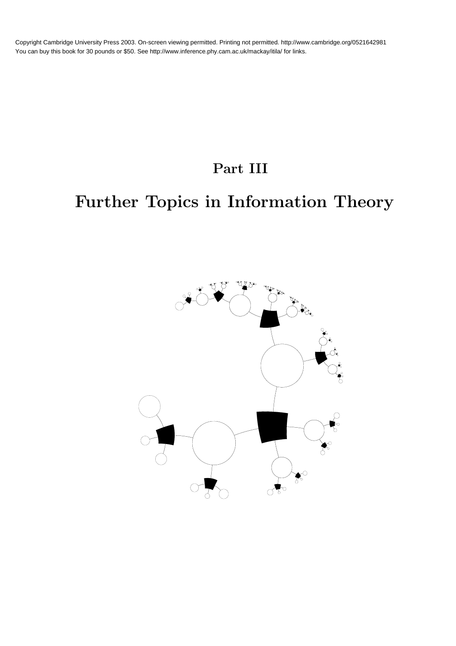# Part III

# Further Topics in Information Theory

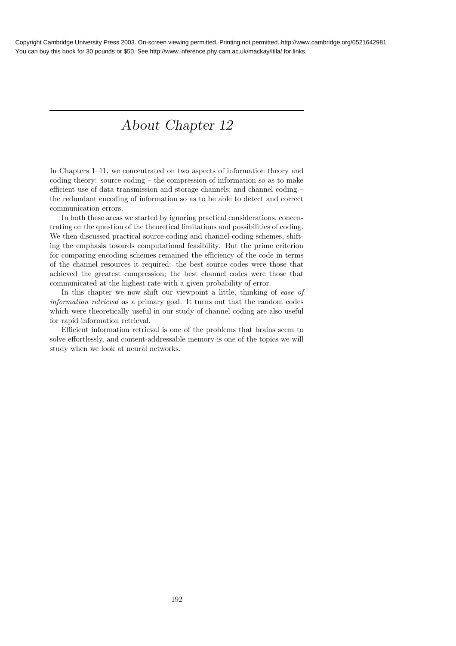### About Chapter 12

In Chapters 1–11, we concentrated on two aspects of information theory and coding theory: source coding – the compression of information so as to make efficient use of data transmission and storage channels; and channel coding – the redundant encoding of information so as to be able to detect and correct communication errors.

In both these areas we started by ignoring practical considerations, concentrating on the question of the theoretical limitations and possibilities of coding. We then discussed practical source-coding and channel-coding schemes, shifting the emphasis towards computational feasibility. But the prime criterion for comparing encoding schemes remained the efficiency of the code in terms of the channel resources it required: the best source codes were those that achieved the greatest compression; the best channel codes were those that communicated at the highest rate with a given probability of error.

In this chapter we now shift our viewpoint a little, thinking of ease of information retrieval as a primary goal. It turns out that the random codes which were theoretically useful in our study of channel coding are also useful for rapid information retrieval.

Efficient information retrieval is one of the problems that brains seem to solve effortlessly, and content-addressable memory is one of the topics we will study when we look at neural networks.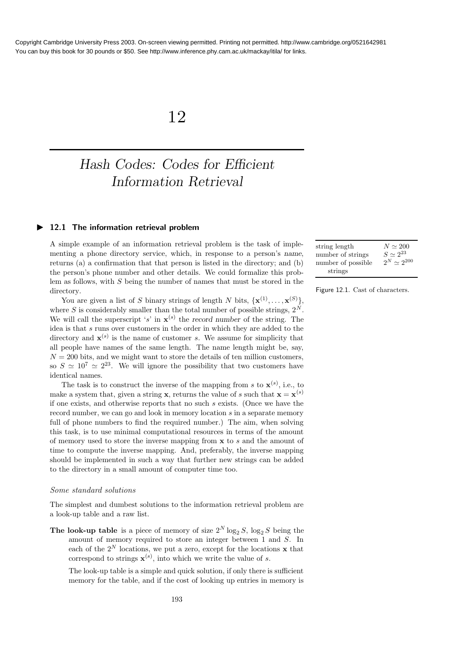### 12

## Hash Codes: Codes for Efficient Information Retrieval

#### ▶ 12.1 The information retrieval problem

A simple example of an information retrieval problem is the task of implementing a phone directory service, which, in response to a person's name, returns (a) a confirmation that that person is listed in the directory; and (b) the person's phone number and other details. We could formalize this problem as follows, with S being the number of names that must be stored in the directory.

You are given a list of S binary strings of length N bits,  $\{x^{(1)},...,x^{(S)}\},\$ where S is considerably smaller than the total number of possible strings,  $2^N$ . We will call the superscript 's' in  $\mathbf{x}^{(s)}$  the record number of the string. The idea is that s runs over customers in the order in which they are added to the directory and  $\mathbf{x}^{(s)}$  is the name of customer s. We assume for simplicity that all people have names of the same length. The name length might be, say,  $N = 200$  bits, and we might want to store the details of ten million customers, so  $S \simeq 10^7 \simeq 2^{23}$ . We will ignore the possibility that two customers have identical names.

The task is to construct the inverse of the mapping from s to  $\mathbf{x}^{(s)}$ , i.e., to make a system that, given a string **x**, returns the value of s such that  $\mathbf{x} = \mathbf{x}^{(s)}$ if one exists, and otherwise reports that no such s exists. (Once we have the record number, we can go and look in memory location s in a separate memory full of phone numbers to find the required number.) The aim, when solving this task, is to use minimal computational resources in terms of the amount of memory used to store the inverse mapping from x to s and the amount of time to compute the inverse mapping. And, preferably, the inverse mapping should be implemented in such a way that further new strings can be added to the directory in a small amount of computer time too.

#### Some standard solutions

The simplest and dumbest solutions to the information retrieval problem are a look-up table and a raw list.

**The look-up table** is a piece of memory of size  $2^N \log_2 S$ ,  $\log_2 S$  being the amount of memory required to store an integer between 1 and S. In each of the  $2^N$  locations, we put a zero, except for the locations **x** that correspond to strings  $\mathbf{x}^{(s)}$ , into which we write the value of s.

The look-up table is a simple and quick solution, if only there is sufficient memory for the table, and if the cost of looking up entries in memory is

| string length      | $N \simeq 200$       |
|--------------------|----------------------|
| number of strings  | $S\simeq 2^{23}$     |
| number of possible | $2^N \simeq 2^{200}$ |
| strings            |                      |

Figure 12.1. Cast of characters.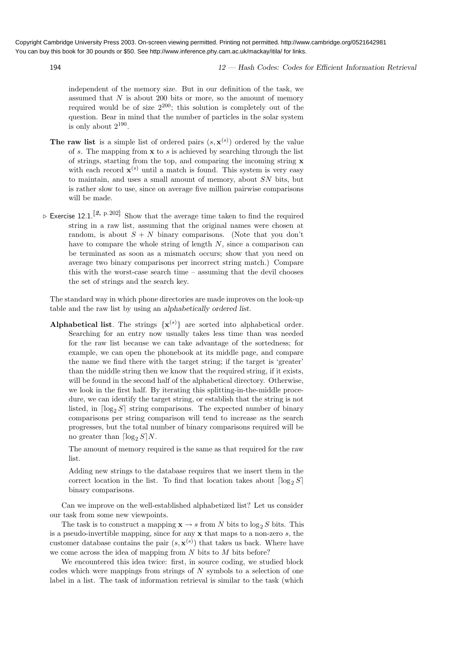194 12 — Hash Codes: Codes for Efficient Information Retrieval

independent of the memory size. But in our definition of the task, we assumed that  $N$  is about 200 bits or more, so the amount of memory required would be of size  $2^{200}$ ; this solution is completely out of the question. Bear in mind that the number of particles in the solar system is only about  $2^{190}$ .

- **The raw list** is a simple list of ordered pairs  $(s, \mathbf{x}^{(s)})$  ordered by the value of s. The mapping from  $x$  to s is achieved by searching through the list of strings, starting from the top, and comparing the incoming string x with each record  $\mathbf{x}^{(s)}$  until a match is found. This system is very easy to maintain, and uses a small amount of memory, about SN bits, but is rather slow to use, since on average five million pairwise comparisons will be made.
- $\triangleright$  Exercise 12.1.<sup>[2, p.202]</sup> Show that the average time taken to find the required string in a raw list, assuming that the original names were chosen at random, is about  $S + N$  binary comparisons. (Note that you don't have to compare the whole string of length N, since a comparison can be terminated as soon as a mismatch occurs; show that you need on average two binary comparisons per incorrect string match.) Compare this with the worst-case search time – assuming that the devil chooses the set of strings and the search key.

The standard way in which phone directories are made improves on the look-up table and the raw list by using an alphabetically ordered list.

Alphabetical list. The strings  $\{x^{(s)}\}$  are sorted into alphabetical order. Searching for an entry now usually takes less time than was needed for the raw list because we can take advantage of the sortedness; for example, we can open the phonebook at its middle page, and compare the name we find there with the target string; if the target is 'greater' than the middle string then we know that the required string, if it exists, will be found in the second half of the alphabetical directory. Otherwise, we look in the first half. By iterating this splitting-in-the-middle procedure, we can identify the target string, or establish that the string is not listed, in  $\lceil \log_2 S \rceil$  string comparisons. The expected number of binary comparisons per string comparison will tend to increase as the search progresses, but the total number of binary comparisons required will be no greater than  $\lceil \log_2 S \rceil N$ .

The amount of memory required is the same as that required for the raw list.

Adding new strings to the database requires that we insert them in the correct location in the list. To find that location takes about  $\lceil \log_2 S \rceil$ binary comparisons.

Can we improve on the well-established alphabetized list? Let us consider our task from some new viewpoints.

The task is to construct a mapping  $\mathbf{x} \to s$  from N bits to  $\log_2 S$  bits. This is a pseudo-invertible mapping, since for any  $x$  that maps to a non-zero  $s$ , the customer database contains the pair  $(s, \mathbf{x}^{(s)})$  that takes us back. Where have we come across the idea of mapping from  $N$  bits to  $M$  bits before?

We encountered this idea twice: first, in source coding, we studied block codes which were mappings from strings of  $N$  symbols to a selection of one label in a list. The task of information retrieval is similar to the task (which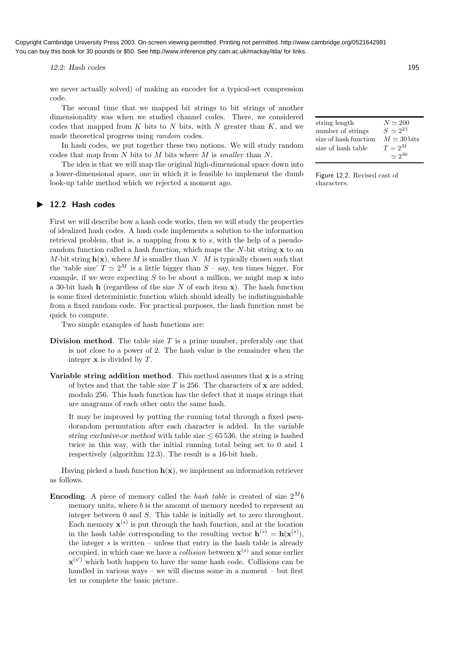12.2: Hash codes 195

we never actually solved) of making an encoder for a typical-set compression code.

The second time that we mapped bit strings to bit strings of another dimensionality was when we studied channel codes. There, we considered codes that mapped from K bits to N bits, with N greater than  $K$ , and we made theoretical progress using random codes.

In hash codes, we put together these two notions. We will study random codes that map from  $N$  bits to  $M$  bits where  $M$  is smaller than  $N$ .

The idea is that we will map the original high-dimensional space down into a lower-dimensional space, one in which it is feasible to implement the dumb look-up table method which we rejected a moment ago.

#### ▶ 12.2 Hash codes

First we will describe how a hash code works, then we will study the properties of idealized hash codes. A hash code implements a solution to the information retrieval problem, that is, a mapping from x to s, with the help of a pseudorandom function called a hash function, which maps the N-bit string  $x$  to an M-bit string  $h(x)$ , where M is smaller than N. M is typically chosen such that the 'table size'  $T \simeq 2^M$  is a little bigger than  $S$  – say, ten times bigger. For example, if we were expecting  $S$  to be about a million, we might map  $x$  into a 30-bit hash h (regardless of the size  $N$  of each item  $x$ ). The hash function is some fixed deterministic function which should ideally be indistinguishable from a fixed random code. For practical purposes, the hash function must be quick to compute.

Two simple examples of hash functions are:

- **Division method**. The table size  $T$  is a prime number, preferably one that is not close to a power of 2. The hash value is the remainder when the integer  $x$  is divided by  $T$ .
- Variable string addition method. This method assumes that  $x$  is a string of bytes and that the table size  $T$  is 256. The characters of  $\bf{x}$  are added, modulo 256. This hash function has the defect that it maps strings that are anagrams of each other onto the same hash.

It may be improved by putting the running total through a fixed pseudorandom permutation after each character is added. In the variable string exclusive-or method with table size  $\leq 65536$ , the string is hashed twice in this way, with the initial running total being set to 0 and 1 respectively (algorithm 12.3). The result is a 16-bit hash.

Having picked a hash function  $h(x)$ , we implement an information retriever as follows.

**Encoding.** A piece of memory called the hash table is created of size  $2^M b$ memory units, where b is the amount of memory needed to represent an integer between 0 and S. This table is initially set to zero throughout. Each memory  $\mathbf{x}^{(s)}$  is put through the hash function, and at the location in the hash table corresponding to the resulting vector  $\mathbf{h}^{(s)} = \mathbf{h}(\mathbf{x}^{(s)}),$ the integer s is written – unless that entry in the hash table is already occupied, in which case we have a *collision* between  $\mathbf{x}^{(s)}$  and some earlier  $\mathbf{x}^{(s')}$  which both happen to have the same hash code. Collisions can be handled in various ways – we will discuss some in a moment – but first let us complete the basic picture.

| $N \simeq 200$     |
|--------------------|
| $S \sim 2^{23}$    |
| $M \simeq 30$ bits |
| $T=2^M$            |
| $\simeq 2^{30}$    |
|                    |

Figure 12.2. Revised cast of characters.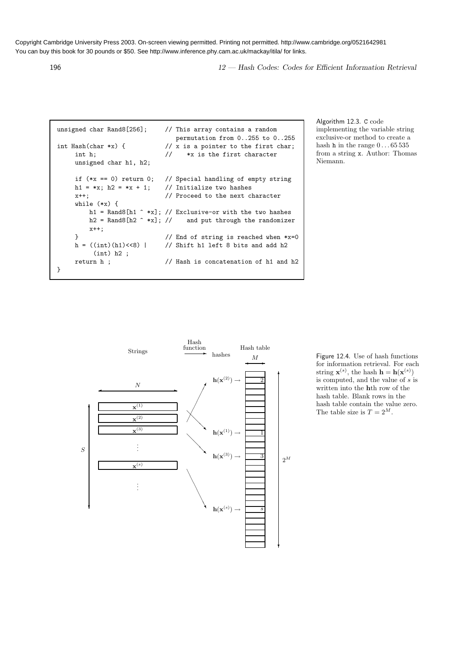196 12 — Hash Codes: Codes for Efficient Information Retrieval

```
unsigned char Rand8[256]; // This array contains a random
                                permutation from 0..255 to 0..255
int Hash(char *x) { \frac{1}{x} is a pointer to the first char;
    int h; \frac{1}{4} \frac{1}{4} \frac{1}{4} \frac{1}{4} is the first character
    unsigned char h1, h2;
     if (*x == 0) return 0; // Special handling of empty string
    h1 = *x; h2 = *x + 1; // Initialize two hashes
    x++; \frac{1}{2} // Proceed to the next character
     while (*x) {
        h1 = Rand8[h1 \hat{ } *x]; // Exclusive-or with the two hashes
        h2 = Rand8[h2 \hat{ } *x]; // and put through the randomizer
        x++;
     } // End of string is reached when *x=0
     h = ((int)(h1) < 8) | // Shift h1 left 8 bits and add h2
         (int) h2 ;
     return h ; \frac{1}{2} // Hash is concatenation of h1 and h2
}
```
Algorithm 12.3. C code implementing the variable string exclusive-or method to create a hash  ${\tt h}$  in the range  $0 \ldots 65\,535$ from a string x. Author: Thomas Niemann.



Figure 12.4. Use of hash functions for information retrieval. For each string  $\mathbf{x}^{(s)}$ , the hash  $\mathbf{h} = \mathbf{h}(\mathbf{x}^{(s)})$ is computed, and the value of s is written into the hth row of the hash table. Blank rows in the hash table contain the value zero. The table size is  $T=2^M.$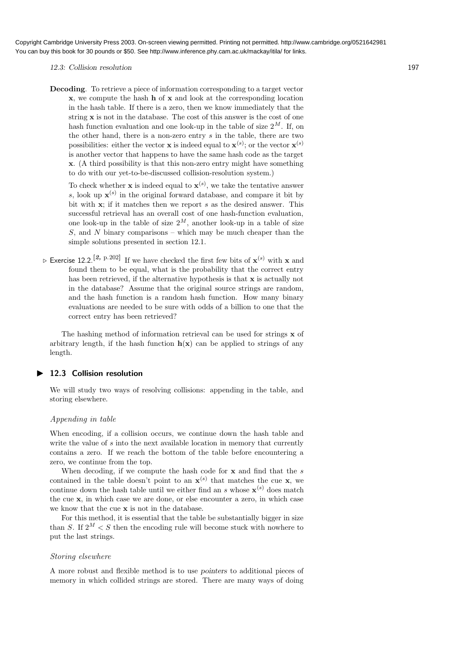12.3: Collision resolution 197

Decoding. To retrieve a piece of information corresponding to a target vector x, we compute the hash h of x and look at the corresponding location in the hash table. If there is a zero, then we know immediately that the string  $x$  is not in the database. The cost of this answer is the cost of one hash function evaluation and one look-up in the table of size  $2^M$ . If, on the other hand, there is a non-zero entry s in the table, there are two possibilities: either the vector **x** is indeed equal to  $\mathbf{x}^{(s)}$ ; or the vector  $\mathbf{x}^{(s)}$ is another vector that happens to have the same hash code as the target x. (A third possibility is that this non-zero entry might have something to do with our yet-to-be-discussed collision-resolution system.)

To check whether **x** is indeed equal to  $\mathbf{x}^{(s)}$ , we take the tentative answer s, look up  $\mathbf{x}^{(s)}$  in the original forward database, and compare it bit by bit with  $x$ ; if it matches then we report  $s$  as the desired answer. This successful retrieval has an overall cost of one hash-function evaluation, one look-up in the table of size  $2^M$ , another look-up in a table of size S, and N binary comparisons – which may be much cheaper than the simple solutions presented in section 12.1.

 $\triangleright$  Exercise 12.2.<sup>[2, p.202]</sup> If we have checked the first few bits of  $\mathbf{x}^{(s)}$  with x and found them to be equal, what is the probability that the correct entry has been retrieved, if the alternative hypothesis is that **x** is actually not in the database? Assume that the original source strings are random, and the hash function is a random hash function. How many binary evaluations are needed to be sure with odds of a billion to one that the correct entry has been retrieved?

The hashing method of information retrieval can be used for strings x of arbitrary length, if the hash function  $h(x)$  can be applied to strings of any length.

▶ 12.3 Collision resolution

We will study two ways of resolving collisions: appending in the table, and storing elsewhere.

#### Appending in table

When encoding, if a collision occurs, we continue down the hash table and write the value of s into the next available location in memory that currently contains a zero. If we reach the bottom of the table before encountering a zero, we continue from the top.

When decoding, if we compute the hash code for  $x$  and find that the s contained in the table doesn't point to an  $\mathbf{x}^{(s)}$  that matches the cue **x**, we continue down the hash table until we either find an s whose  $\mathbf{x}^{(s)}$  does match the cue x, in which case we are done, or else encounter a zero, in which case we know that the cue x is not in the database.

For this method, it is essential that the table be substantially bigger in size than S. If  $2^M < S$  then the encoding rule will become stuck with nowhere to put the last strings.

#### Storing elsewhere

A more robust and flexible method is to use pointers to additional pieces of memory in which collided strings are stored. There are many ways of doing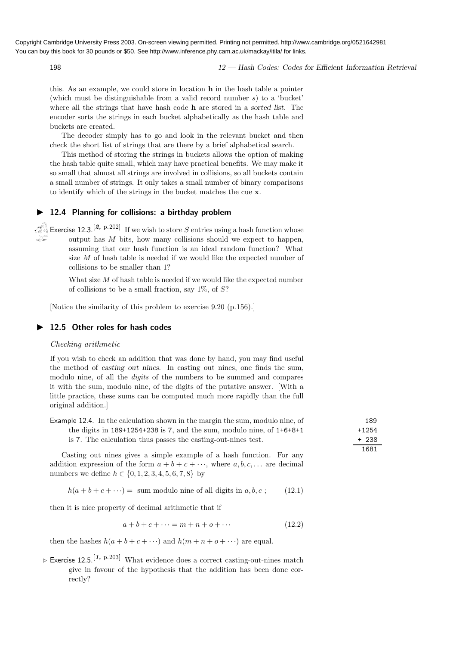198 198 12 — Hash Codes: Codes for Efficient Information Retrieval

this. As an example, we could store in location h in the hash table a pointer (which must be distinguishable from a valid record number  $s$ ) to a 'bucket' where all the strings that have hash code  **are stored in a** *sorted list***. The** encoder sorts the strings in each bucket alphabetically as the hash table and buckets are created.

The decoder simply has to go and look in the relevant bucket and then check the short list of strings that are there by a brief alphabetical search.

This method of storing the strings in buckets allows the option of making the hash table quite small, which may have practical benefits. We may make it so small that almost all strings are involved in collisions, so all buckets contain a small number of strings. It only takes a small number of binary comparisons to identify which of the strings in the bucket matches the cue x.

#### ▶ 12.4 Planning for collisions: a birthday problem

Exercise 12.3.<sup>[2, p.202]</sup> If we wish to store S entries using a hash function whose output has  $M$  bits, how many collisions should we expect to happen, assuming that our hash function is an ideal random function? What size M of hash table is needed if we would like the expected number of collisions to be smaller than 1?

> What size M of hash table is needed if we would like the expected number of collisions to be a small fraction, say  $1\%$ , of S?

[Notice the similarity of this problem to exercise 9.20 (p.156).]

#### ▶ 12.5 Other roles for hash codes

#### Checking arithmetic

If you wish to check an addition that was done by hand, you may find useful the method of casting out nines. In casting out nines, one finds the sum, modulo nine, of all the digits of the numbers to be summed and compares it with the sum, modulo nine, of the digits of the putative answer. [With a little practice, these sums can be computed much more rapidly than the full original addition.]

Example 12.4. In the calculation shown in the margin the sum, modulo nine, of 189 the digits in 189+1254+238 is 7, and the sum, modulo nine, of 1+6+8+1 is 7. The calculation thus passes the casting-out-nines test.

Casting out nines gives a simple example of a hash function. For any addition expression of the form  $a + b + c + \cdots$ , where  $a, b, c, \ldots$  are decimal numbers we define  $h \in \{0, 1, 2, 3, 4, 5, 6, 7, 8\}$  by

 $h(a + b + c + \cdots) =$  sum modulo nine of all digits in  $a, b, c$ ; (12.1)

then it is nice property of decimal arithmetic that if

$$
a + b + c + \dots = m + n + o + \dots \tag{12.2}
$$

then the hashes  $h(a + b + c + \cdots)$  and  $h(m + n + o + \cdots)$  are equal.

 $\triangleright$  Exercise 12.5.<sup>[1, p.203]</sup> What evidence does a correct casting-out-nines match give in favour of the hypothesis that the addition has been done correctly?

+1254 + 238 1681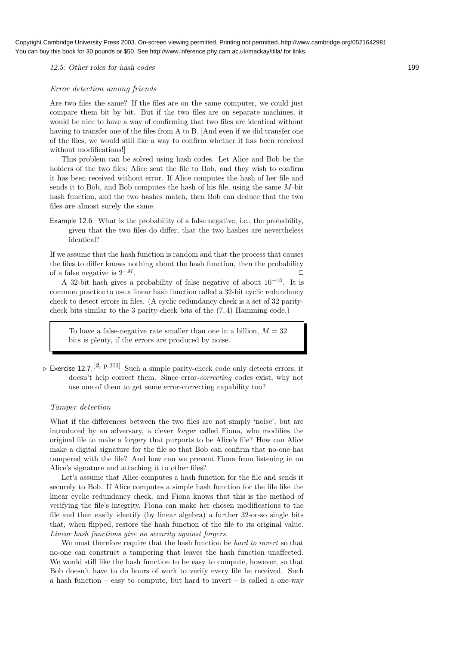12.5: Other roles for hash codes 199

#### Error detection among friends

Are two files the same? If the files are on the same computer, we could just compare them bit by bit. But if the two files are on separate machines, it would be nice to have a way of confirming that two files are identical without having to transfer one of the files from A to B. [And even if we did transfer one of the files, we would still like a way to confirm whether it has been received without modifications!]

This problem can be solved using hash codes. Let Alice and Bob be the holders of the two files; Alice sent the file to Bob, and they wish to confirm it has been received without error. If Alice computes the hash of her file and sends it to Bob, and Bob computes the hash of his file, using the same M-bit hash function, and the two hashes match, then Bob can deduce that the two files are almost surely the same.

Example 12.6. What is the probability of a false negative, i.e., the probability, given that the two files do differ, that the two hashes are nevertheless identical?

If we assume that the hash function is random and that the process that causes the files to differ knows nothing about the hash function, then the probability of a false negative is  $2^{-M}$ .  $-M$ .  $\Box$ 

A 32-bit hash gives a probability of false negative of about  $10^{-10}$ . It is common practice to use a linear hash function called a 32-bit cyclic redundancy check to detect errors in files. (A cyclic redundancy check is a set of 32 paritycheck bits similar to the 3 parity-check bits of the (7, 4) Hamming code.)

To have a false-negative rate smaller than one in a billion,  $M = 32$ bits is plenty, if the errors are produced by noise.

 $\triangleright$  Exercise 12.7.<sup>[2, p.203]</sup> Such a simple parity-check code only detects errors; it doesn't help correct them. Since error-*correcting* codes exist, why not use one of them to get some error-correcting capability too?

#### Tamper detection

What if the differences between the two files are not simply 'noise', but are introduced by an adversary, a clever forger called Fiona, who modifies the original file to make a forgery that purports to be Alice's file? How can Alice make a digital signature for the file so that Bob can confirm that no-one has tampered with the file? And how can we prevent Fiona from listening in on Alice's signature and attaching it to other files?

Let's assume that Alice computes a hash function for the file and sends it securely to Bob. If Alice computes a simple hash function for the file like the linear cyclic redundancy check, and Fiona knows that this is the method of verifying the file's integrity, Fiona can make her chosen modifications to the file and then easily identify (by linear algebra) a further 32-or-so single bits that, when flipped, restore the hash function of the file to its original value. Linear hash functions give no security against forgers.

We must therefore require that the hash function be *hard to invert* so that no-one can construct a tampering that leaves the hash function unaffected. We would still like the hash function to be easy to compute, however, so that Bob doesn't have to do hours of work to verify every file he received. Such a hash function – easy to compute, but hard to invert – is called a one-way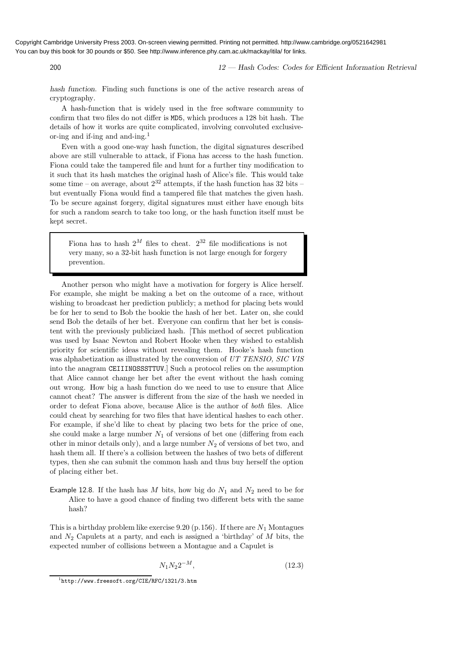200 12 — Hash Codes: Codes for Efficient Information Retrieval

hash function. Finding such functions is one of the active research areas of cryptography.

A hash-function that is widely used in the free software community to confirm that two files do not differ is MD5, which produces a 128 bit hash. The details of how it works are quite complicated, involving convoluted exclusiveor-ing and if-ing and and-ing.<sup>1</sup>

Even with a good one-way hash function, the digital signatures described above are still vulnerable to attack, if Fiona has access to the hash function. Fiona could take the tampered file and hunt for a further tiny modification to it such that its hash matches the original hash of Alice's file. This would take some time – on average, about  $2^{32}$  attempts, if the hash function has 32 bits – but eventually Fiona would find a tampered file that matches the given hash. To be secure against forgery, digital signatures must either have enough bits for such a random search to take too long, or the hash function itself must be kept secret.

Fiona has to hash  $2^M$  files to cheat.  $2^{32}$  file modifications is not very many, so a 32-bit hash function is not large enough for forgery prevention.

Another person who might have a motivation for forgery is Alice herself. For example, she might be making a bet on the outcome of a race, without wishing to broadcast her prediction publicly; a method for placing bets would be for her to send to Bob the bookie the hash of her bet. Later on, she could send Bob the details of her bet. Everyone can confirm that her bet is consistent with the previously publicized hash. [This method of secret publication was used by Isaac Newton and Robert Hooke when they wished to establish priority for scientific ideas without revealing them. Hooke's hash function was alphabetization as illustrated by the conversion of UT TENSIO, SIC VIS into the anagram CEIIINOSSSTTUV.] Such a protocol relies on the assumption that Alice cannot change her bet after the event without the hash coming out wrong. How big a hash function do we need to use to ensure that Alice cannot cheat? The answer is different from the size of the hash we needed in order to defeat Fiona above, because Alice is the author of both files. Alice could cheat by searching for two files that have identical hashes to each other. For example, if she'd like to cheat by placing two bets for the price of one, she could make a large number  $N_1$  of versions of bet one (differing from each other in minor details only), and a large number  $N_2$  of versions of bet two, and hash them all. If there's a collision between the hashes of two bets of different types, then she can submit the common hash and thus buy herself the option of placing either bet.

Example 12.8. If the hash has M bits, how big do  $N_1$  and  $N_2$  need to be for Alice to have a good chance of finding two different bets with the same hash?

This is a birthday problem like exercise 9.20 (p.156). If there are  $N_1$  Montagues and  $N_2$  Capulets at a party, and each is assigned a 'birthday' of M bits, the expected number of collisions between a Montague and a Capulet is

$$
N_1 N_2 2^{-M}, \t\t(12.3)
$$

<sup>1</sup> http://www.freesoft.org/CIE/RFC/1321/3.htm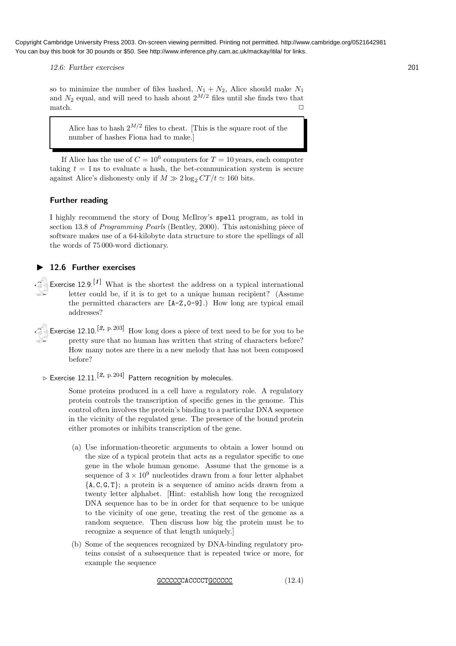12.6: Further exercises 201

so to minimize the number of files hashed,  $N_1 + N_2$ , Alice should make  $N_1$ and  $N_2$  equal, and will need to hash about  $2^{M/2}$  files until she finds two that match.  $\Box$ 

Alice has to hash  $2^{M/2}$  files to cheat. [This is the square root of the number of hashes Fiona had to make.]

If Alice has the use of  $C = 10^6$  computers for  $T = 10$  years, each computer taking  $t = 1$  ns to evaluate a hash, the bet-communication system is secure against Alice's dishonesty only if  $M \gg 2 \log_2 CT/t \simeq 160$  bits.

#### Further reading

I highly recommend the story of Doug McIlroy's spell program, as told in section 13.8 of Programming Pearls (Bentley, 2000). This astonishing piece of software makes use of a 64-kilobyte data structure to store the spellings of all the words of 75 000-word dictionary.

#### ▶ 12.6 Further exercises

Exercise 12.9.<sup>[1]</sup> What is the shortest the address on a typical international letter could be, if it is to get to a unique human recipient? (Assume the permitted characters are [A-Z,0-9].) How long are typical email addresses?

- Exercise 12.10.<sup>[2, p.203]</sup> How long does a piece of text need to be for you to be pretty sure that no human has written that string of characters before? How many notes are there in a new melody that has not been composed before?
- $\triangleright$  Exercise 12.11.<sup>[2, p.204]</sup> Pattern recognition by molecules.

Some proteins produced in a cell have a regulatory role. A regulatory protein controls the transcription of specific genes in the genome. This control often involves the protein's binding to a particular DNA sequence in the vicinity of the regulated gene. The presence of the bound protein either promotes or inhibits transcription of the gene.

- (a) Use information-theoretic arguments to obtain a lower bound on the size of a typical protein that acts as a regulator specific to one gene in the whole human genome. Assume that the genome is a sequence of  $3 \times 10^9$  nucleotides drawn from a four letter alphabet {A, C, G, T}; a protein is a sequence of amino acids drawn from a twenty letter alphabet. [Hint: establish how long the recognized DNA sequence has to be in order for that sequence to be unique to the vicinity of one gene, treating the rest of the genome as a random sequence. Then discuss how big the protein must be to recognize a sequence of that length uniquely.]
- (b) Some of the sequences recognized by DNA-binding regulatory proteins consist of a subsequence that is repeated twice or more, for example the sequence

GCCCCCCACCCCTGCCCCC (12.4)